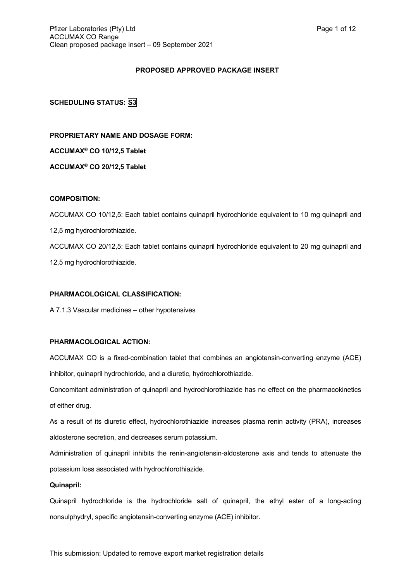# **PROPOSED APPROVED PACKAGE INSERT**

# **SCHEDULING STATUS: S3**

**PROPRIETARY NAME AND DOSAGE FORM: ACCUMAX® CO 10/12,5 Tablet ACCUMAX® CO 20/12,5 Tablet**

# **COMPOSITION:**

ACCUMAX CO 10/12,5: Each tablet contains quinapril hydrochloride equivalent to 10 mg quinapril and 12,5 mg hydrochlorothiazide. ACCUMAX CO 20/12,5: Each tablet contains quinapril hydrochloride equivalent to 20 mg quinapril and 12,5 mg hydrochlorothiazide.

# **PHARMACOLOGICAL CLASSIFICATION:**

A 7.1.3 Vascular medicines – other hypotensives

# **PHARMACOLOGICAL ACTION:**

ACCUMAX CO is a fixed-combination tablet that combines an angiotensin-converting enzyme (ACE) inhibitor, quinapril hydrochloride, and a diuretic, hydrochlorothiazide.

Concomitant administration of quinapril and hydrochlorothiazide has no effect on the pharmacokinetics of either drug.

As a result of its diuretic effect, hydrochlorothiazide increases plasma renin activity (PRA), increases aldosterone secretion, and decreases serum potassium.

Administration of quinapril inhibits the renin-angiotensin-aldosterone axis and tends to attenuate the potassium loss associated with hydrochlorothiazide.

# **Quinapril:**

Quinapril hydrochloride is the hydrochloride salt of quinapril, the ethyl ester of a long-acting nonsulphydryl, specific angiotensin-converting enzyme (ACE) inhibitor.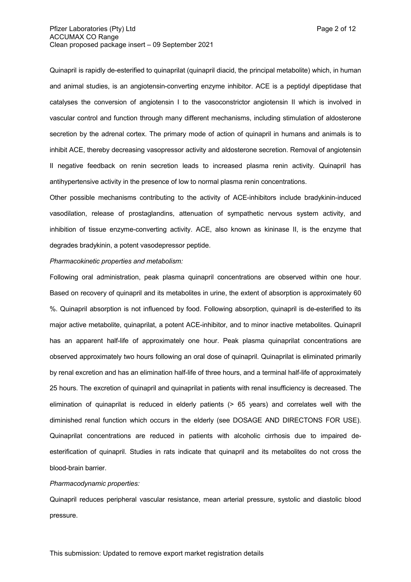Quinapril is rapidly de-esterified to quinaprilat (quinapril diacid, the principal metabolite) which, in human and animal studies, is an angiotensin-converting enzyme inhibitor. ACE is a peptidyl dipeptidase that catalyses the conversion of angiotensin I to the vasoconstrictor angiotensin II which is involved in vascular control and function through many different mechanisms, including stimulation of aldosterone secretion by the adrenal cortex. The primary mode of action of quinapril in humans and animals is to inhibit ACE, thereby decreasing vasopressor activity and aldosterone secretion. Removal of angiotensin II negative feedback on renin secretion leads to increased plasma renin activity. Quinapril has antihypertensive activity in the presence of low to normal plasma renin concentrations.

Other possible mechanisms contributing to the activity of ACE-inhibitors include bradykinin-induced vasodilation, release of prostaglandins, attenuation of sympathetic nervous system activity, and inhibition of tissue enzyme-converting activity. ACE, also known as kininase II, is the enzyme that degrades bradykinin, a potent vasodepressor peptide.

#### *Pharmacokinetic properties and metabolism:*

Following oral administration, peak plasma quinapril concentrations are observed within one hour. Based on recovery of quinapril and its metabolites in urine, the extent of absorption is approximately 60 %. Quinapril absorption is not influenced by food. Following absorption, quinapril is de-esterified to its major active metabolite, quinaprilat, a potent ACE-inhibitor, and to minor inactive metabolites. Quinapril has an apparent half-life of approximately one hour. Peak plasma quinaprilat concentrations are observed approximately two hours following an oral dose of quinapril. Quinaprilat is eliminated primarily by renal excretion and has an elimination half-life of three hours, and a terminal half-life of approximately 25 hours. The excretion of quinapril and quinaprilat in patients with renal insufficiency is decreased. The elimination of quinaprilat is reduced in elderly patients (> 65 years) and correlates well with the diminished renal function which occurs in the elderly (see DOSAGE AND DIRECTONS FOR USE). Quinaprilat concentrations are reduced in patients with alcoholic cirrhosis due to impaired deesterification of quinapril. Studies in rats indicate that quinapril and its metabolites do not cross the blood-brain barrier.

#### *Pharmacodynamic properties:*

Quinapril reduces peripheral vascular resistance, mean arterial pressure, systolic and diastolic blood pressure.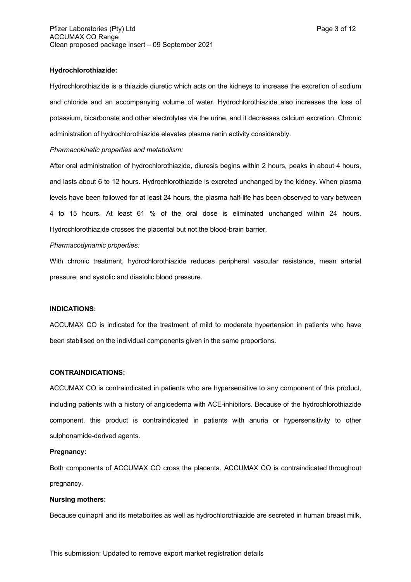## **Hydrochlorothiazide:**

Hydrochlorothiazide is a thiazide diuretic which acts on the kidneys to increase the excretion of sodium and chloride and an accompanying volume of water. Hydrochlorothiazide also increases the loss of potassium, bicarbonate and other electrolytes via the urine, and it decreases calcium excretion. Chronic administration of hydrochlorothiazide elevates plasma renin activity considerably.

# *Pharmacokinetic properties and metabolism:*

After oral administration of hydrochlorothiazide, diuresis begins within 2 hours, peaks in about 4 hours, and lasts about 6 to 12 hours. Hydrochlorothiazide is excreted unchanged by the kidney. When plasma levels have been followed for at least 24 hours, the plasma half-life has been observed to vary between 4 to 15 hours. At least 61 % of the oral dose is eliminated unchanged within 24 hours. Hydrochlorothiazide crosses the placental but not the blood-brain barrier.

# *Pharmacodynamic properties:*

With chronic treatment, hydrochlorothiazide reduces peripheral vascular resistance, mean arterial pressure, and systolic and diastolic blood pressure.

## **INDICATIONS:**

ACCUMAX CO is indicated for the treatment of mild to moderate hypertension in patients who have been stabilised on the individual components given in the same proportions.

## **CONTRAINDICATIONS:**

ACCUMAX CO is contraindicated in patients who are hypersensitive to any component of this product, including patients with a history of angioedema with ACE-inhibitors. Because of the hydrochlorothiazide component, this product is contraindicated in patients with anuria or hypersensitivity to other sulphonamide-derived agents.

# **Pregnancy:**

Both components of ACCUMAX CO cross the placenta. ACCUMAX CO is contraindicated throughout pregnancy.

## **Nursing mothers:**

Because quinapril and its metabolites as well as hydrochlorothiazide are secreted in human breast milk,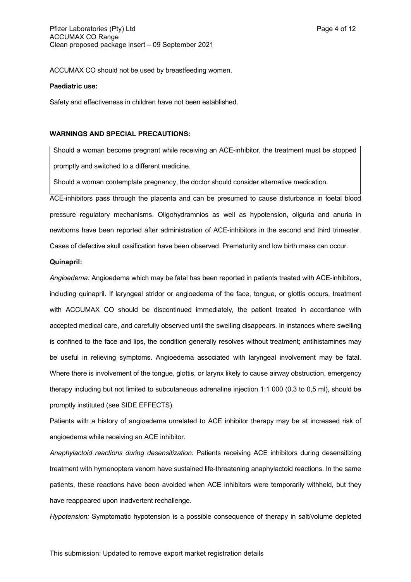ACCUMAX CO should not be used by breastfeeding women.

#### **Paediatric use:**

Safety and effectiveness in children have not been established.

### **WARNINGS AND SPECIAL PRECAUTIONS:**

Should a woman become pregnant while receiving an ACE-inhibitor, the treatment must be stopped promptly and switched to a different medicine.

Should a woman contemplate pregnancy, the doctor should consider alternative medication.

ACE-inhibitors pass through the placenta and can be presumed to cause disturbance in foetal blood pressure regulatory mechanisms. Oligohydramnios as well as hypotension, oliguria and anuria in newborns have been reported after administration of ACE-inhibitors in the second and third trimester. Cases of defective skull ossification have been observed. Prematurity and low birth mass can occur.

#### **Quinapril:**

*Angioedema:* Angioedema which may be fatal has been reported in patients treated with ACE-inhibitors, including quinapril. If laryngeal stridor or angioedema of the face, tongue, or glottis occurs, treatment with ACCUMAX CO should be discontinued immediately, the patient treated in accordance with accepted medical care, and carefully observed until the swelling disappears. In instances where swelling is confined to the face and lips, the condition generally resolves without treatment; antihistamines may be useful in relieving symptoms. Angioedema associated with laryngeal involvement may be fatal. Where there is involvement of the tongue, glottis, or larynx likely to cause airway obstruction, emergency therapy including but not limited to subcutaneous adrenaline injection 1:1 000 (0,3 to 0,5 ml), should be promptly instituted (see SIDE EFFECTS).

Patients with a history of angioedema unrelated to ACE inhibitor therapy may be at increased risk of angioedema while receiving an ACE inhibitor.

*Anaphylactoid reactions during desensitization:* Patients receiving ACE inhibitors during desensitizing treatment with hymenoptera venom have sustained life-threatening anaphylactoid reactions. In the same patients, these reactions have been avoided when ACE inhibitors were temporarily withheld, but they have reappeared upon inadvertent rechallenge.

*Hypotension:* Symptomatic hypotension is a possible consequence of therapy in salt/volume depleted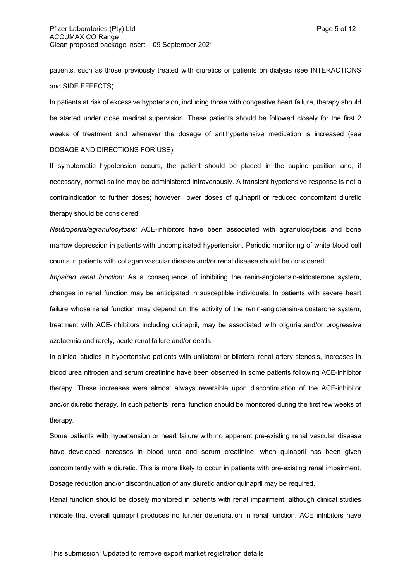patients, such as those previously treated with diuretics or patients on dialysis (see INTERACTIONS and SIDE EFFECTS).

In patients at risk of excessive hypotension, including those with congestive heart failure, therapy should be started under close medical supervision. These patients should be followed closely for the first 2 weeks of treatment and whenever the dosage of antihypertensive medication is increased (see DOSAGE AND DIRECTIONS FOR USE).

If symptomatic hypotension occurs, the patient should be placed in the supine position and, if necessary, normal saline may be administered intravenously. A transient hypotensive response is not a contraindication to further doses; however, lower doses of quinapril or reduced concomitant diuretic therapy should be considered.

*Neutropenia/agranulocytosis:* ACE-inhibitors have been associated with agranulocytosis and bone marrow depression in patients with uncomplicated hypertension. Periodic monitoring of white blood cell counts in patients with collagen vascular disease and/or renal disease should be considered.

*Impaired renal function:* As a consequence of inhibiting the renin-angiotensin-aldosterone system, changes in renal function may be anticipated in susceptible individuals. In patients with severe heart failure whose renal function may depend on the activity of the renin-angiotensin-aldosterone system, treatment with ACE-inhibitors including quinapril, may be associated with oliguria and/or progressive azotaemia and rarely, acute renal failure and/or death.

In clinical studies in hypertensive patients with unilateral or bilateral renal artery stenosis, increases in blood urea nitrogen and serum creatinine have been observed in some patients following ACE-inhibitor therapy. These increases were almost always reversible upon discontinuation of the ACE-inhibitor and/or diuretic therapy. In such patients, renal function should be monitored during the first few weeks of therapy.

Some patients with hypertension or heart failure with no apparent pre-existing renal vascular disease have developed increases in blood urea and serum creatinine, when quinapril has been given concomitantly with a diuretic. This is more likely to occur in patients with pre-existing renal impairment. Dosage reduction and/or discontinuation of any diuretic and/or quinapril may be required.

Renal function should be closely monitored in patients with renal impairment, although clinical studies indicate that overall quinapril produces no further deterioration in renal function. ACE inhibitors have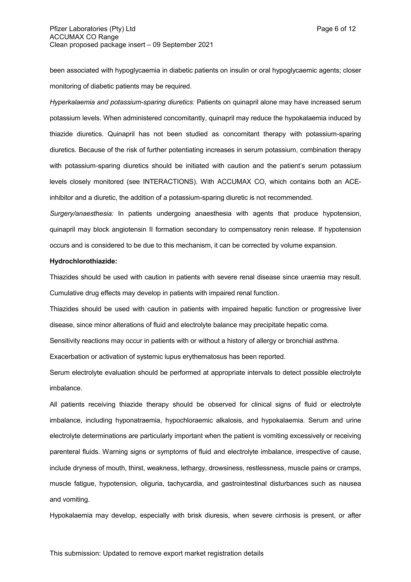been associated with hypoglycaemia in diabetic patients on insulin or oral hypoglycaemic agents; closer monitoring of diabetic patients may be required.

*Hyperkalaemia and potassium-sparing diuretics:* Patients on quinapril alone may have increased serum potassium levels. When administered concomitantly, quinapril may reduce the hypokalaemia induced by thiazide diuretics. Quinapril has not been studied as concomitant therapy with potassium-sparing diuretics. Because of the risk of further potentiating increases in serum potassium, combination therapy with potassium-sparing diuretics should be initiated with caution and the patient's serum potassium levels closely monitored (see INTERACTIONS). With ACCUMAX CO, which contains both an ACEinhibitor and a diuretic, the addition of a potassium-sparing diuretic is not recommended.

*Surgery/anaesthesia:* In patients undergoing anaesthesia with agents that produce hypotension, quinapril may block angiotensin II formation secondary to compensatory renin release. If hypotension occurs and is considered to be due to this mechanism, it can be corrected by volume expansion.

#### **Hydrochlorothiazide:**

Thiazides should be used with caution in patients with severe renal disease since uraemia may result. Cumulative drug effects may develop in patients with impaired renal function.

Thiazides should be used with caution in patients with impaired hepatic function or progressive liver disease, since minor alterations of fluid and electrolyte balance may precipitate hepatic coma.

Sensitivity reactions may occur in patients with or without a history of allergy or bronchial asthma.

Exacerbation or activation of systemic lupus erythematosus has been reported.

Serum electrolyte evaluation should be performed at appropriate intervals to detect possible electrolyte imbalance.

All patients receiving thiazide therapy should be observed for clinical signs of fluid or electrolyte imbalance, including hyponatraemia, hypochloraemic alkalosis, and hypokalaemia. Serum and urine electrolyte determinations are particularly important when the patient is vomiting excessively or receiving parenteral fluids. Warning signs or symptoms of fluid and electrolyte imbalance, irrespective of cause, include dryness of mouth, thirst, weakness, lethargy, drowsiness, restlessness, muscle pains or cramps, muscle fatigue, hypotension, oliguria, tachycardia, and gastrointestinal disturbances such as nausea and vomiting.

Hypokalaemia may develop, especially with brisk diuresis, when severe cirrhosis is present, or after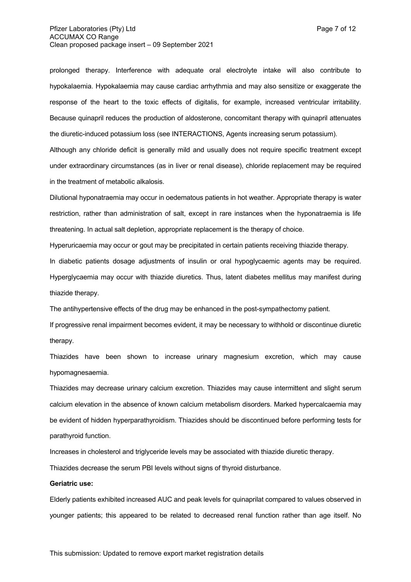prolonged therapy. Interference with adequate oral electrolyte intake will also contribute to hypokalaemia. Hypokalaemia may cause cardiac arrhythmia and may also sensitize or exaggerate the response of the heart to the toxic effects of digitalis, for example, increased ventricular irritability. Because quinapril reduces the production of aldosterone, concomitant therapy with quinapril attenuates the diuretic-induced potassium loss (see INTERACTIONS, Agents increasing serum potassium).

Although any chloride deficit is generally mild and usually does not require specific treatment except under extraordinary circumstances (as in liver or renal disease), chloride replacement may be required in the treatment of metabolic alkalosis.

Dilutional hyponatraemia may occur in oedematous patients in hot weather. Appropriate therapy is water restriction, rather than administration of salt, except in rare instances when the hyponatraemia is life threatening. In actual salt depletion, appropriate replacement is the therapy of choice.

Hyperuricaemia may occur or gout may be precipitated in certain patients receiving thiazide therapy.

In diabetic patients dosage adjustments of insulin or oral hypoglycaemic agents may be required. Hyperglycaemia may occur with thiazide diuretics. Thus, latent diabetes mellitus may manifest during thiazide therapy.

The antihypertensive effects of the drug may be enhanced in the post-sympathectomy patient.

If progressive renal impairment becomes evident, it may be necessary to withhold or discontinue diuretic therapy.

Thiazides have been shown to increase urinary magnesium excretion, which may cause hypomagnesaemia.

Thiazides may decrease urinary calcium excretion. Thiazides may cause intermittent and slight serum calcium elevation in the absence of known calcium metabolism disorders. Marked hypercalcaemia may be evident of hidden hyperparathyroidism. Thiazides should be discontinued before performing tests for parathyroid function.

Increases in cholesterol and triglyceride levels may be associated with thiazide diuretic therapy. Thiazides decrease the serum PBI levels without signs of thyroid disturbance.

#### **Geriatric use:**

Elderly patients exhibited increased AUC and peak levels for quinaprilat compared to values observed in younger patients; this appeared to be related to decreased renal function rather than age itself. No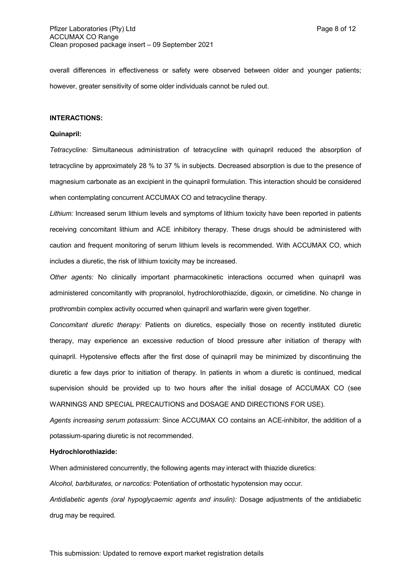overall differences in effectiveness or safety were observed between older and younger patients; however, greater sensitivity of some older individuals cannot be ruled out.

#### **INTERACTIONS:**

### **Quinapril:**

*Tetracycline:* Simultaneous administration of tetracycline with quinapril reduced the absorption of tetracycline by approximately 28 % to 37 % in subjects. Decreased absorption is due to the presence of magnesium carbonate as an excipient in the quinapril formulation. This interaction should be considered when contemplating concurrent ACCUMAX CO and tetracycline therapy.

*Lithium:* Increased serum lithium levels and symptoms of lithium toxicity have been reported in patients receiving concomitant lithium and ACE inhibitory therapy. These drugs should be administered with caution and frequent monitoring of serum lithium levels is recommended. With ACCUMAX CO, which includes a diuretic, the risk of lithium toxicity may be increased.

*Other agents:* No clinically important pharmacokinetic interactions occurred when quinapril was administered concomitantly with propranolol, hydrochlorothiazide, digoxin, or cimetidine. No change in prothrombin complex activity occurred when quinapril and warfarin were given together.

*Concomitant diuretic therapy:* Patients on diuretics, especially those on recently instituted diuretic therapy, may experience an excessive reduction of blood pressure after initiation of therapy with quinapril. Hypotensive effects after the first dose of quinapril may be minimized by discontinuing the diuretic a few days prior to initiation of therapy. In patients in whom a diuretic is continued, medical supervision should be provided up to two hours after the initial dosage of ACCUMAX CO (see WARNINGS AND SPECIAL PRECAUTIONS and DOSAGE AND DIRECTIONS FOR USE).

*Agents increasing serum potassium:* Since ACCUMAX CO contains an ACE-inhibitor, the addition of a potassium-sparing diuretic is not recommended.

### **Hydrochlorothiazide:**

When administered concurrently, the following agents may interact with thiazide diuretics:

*Alcohol, barbiturates, or narcotics:* Potentiation of orthostatic hypotension may occur.

*Antidiabetic agents (oral hypoglycaemic agents and insulin):* Dosage adjustments of the antidiabetic drug may be required.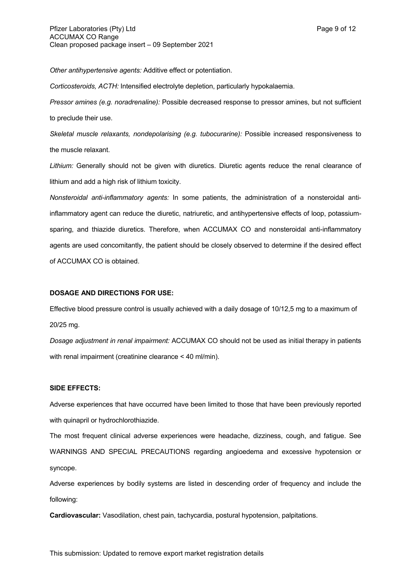*Other antihypertensive agents:* Additive effect or potentiation.

*Corticosteroids, ACTH:* Intensified electrolyte depletion, particularly hypokalaemia.

*Pressor amines (e.g. noradrenaline):* Possible decreased response to pressor amines, but not sufficient to preclude their use.

*Skeletal muscle relaxants, nondepolarising (e.g. tubocurarine):* Possible increased responsiveness to the muscle relaxant.

*Lithium:* Generally should not be given with diuretics. Diuretic agents reduce the renal clearance of lithium and add a high risk of lithium toxicity.

*Nonsteroidal anti-inflammatory agents:* In some patients, the administration of a nonsteroidal antiinflammatory agent can reduce the diuretic, natriuretic, and antihypertensive effects of loop, potassiumsparing, and thiazide diuretics. Therefore, when ACCUMAX CO and nonsteroidal anti-inflammatory agents are used concomitantly, the patient should be closely observed to determine if the desired effect of ACCUMAX CO is obtained.

# **DOSAGE AND DIRECTIONS FOR USE:**

Effective blood pressure control is usually achieved with a daily dosage of 10/12,5 mg to a maximum of 20/25 mg.

*Dosage adjustment in renal impairment:* ACCUMAX CO should not be used as initial therapy in patients with renal impairment (creatinine clearance < 40 ml/min).

## **SIDE EFFECTS:**

Adverse experiences that have occurred have been limited to those that have been previously reported with quinapril or hydrochlorothiazide.

The most frequent clinical adverse experiences were headache, dizziness, cough, and fatigue. See WARNINGS AND SPECIAL PRECAUTIONS regarding angioedema and excessive hypotension or syncope.

Adverse experiences by bodily systems are listed in descending order of frequency and include the following:

**Cardiovascular:** Vasodilation, chest pain, tachycardia, postural hypotension, palpitations.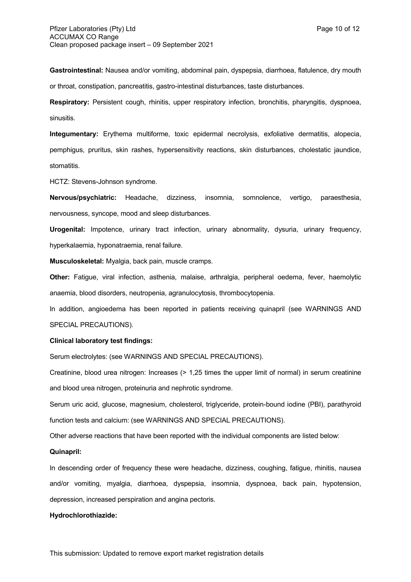**Gastrointestinal:** Nausea and/or vomiting, abdominal pain, dyspepsia, diarrhoea, flatulence, dry mouth or throat, constipation, pancreatitis, gastro-intestinal disturbances, taste disturbances.

**Respiratory:** Persistent cough, rhinitis, upper respiratory infection, bronchitis, pharyngitis, dyspnoea, sinusitis.

**Integumentary:** Erythema multiforme, toxic epidermal necrolysis, exfoliative dermatitis, alopecia, pemphigus, pruritus, skin rashes, hypersensitivity reactions, skin disturbances, cholestatic jaundice, stomatitis.

HCTZ: Stevens-Johnson syndrome.

**Nervous/psychiatric:** Headache, dizziness, insomnia, somnolence, vertigo, paraesthesia, nervousness, syncope, mood and sleep disturbances.

**Urogenital:** Impotence, urinary tract infection, urinary abnormality, dysuria, urinary frequency, hyperkalaemia, hyponatraemia, renal failure.

**Musculoskeletal:** Myalgia, back pain, muscle cramps.

**Other:** Fatigue, viral infection, asthenia, malaise, arthralgia, peripheral oedema, fever, haemolytic anaemia, blood disorders, neutropenia, agranulocytosis, thrombocytopenia.

In addition, angioedema has been reported in patients receiving quinapril (see WARNINGS AND SPECIAL PRECAUTIONS).

## **Clinical laboratory test findings:**

Serum electrolytes: (see WARNINGS AND SPECIAL PRECAUTIONS).

Creatinine, blood urea nitrogen: Increases (> 1,25 times the upper limit of normal) in serum creatinine and blood urea nitrogen, proteinuria and nephrotic syndrome.

Serum uric acid, glucose, magnesium, cholesterol, triglyceride, protein-bound iodine (PBI), parathyroid function tests and calcium: (see WARNINGS AND SPECIAL PRECAUTIONS).

Other adverse reactions that have been reported with the individual components are listed below:

### **Quinapril:**

In descending order of frequency these were headache, dizziness, coughing, fatigue, rhinitis, nausea and/or vomiting, myalgia, diarrhoea, dyspepsia, insomnia, dyspnoea, back pain, hypotension, depression, increased perspiration and angina pectoris.

#### **Hydrochlorothiazide:**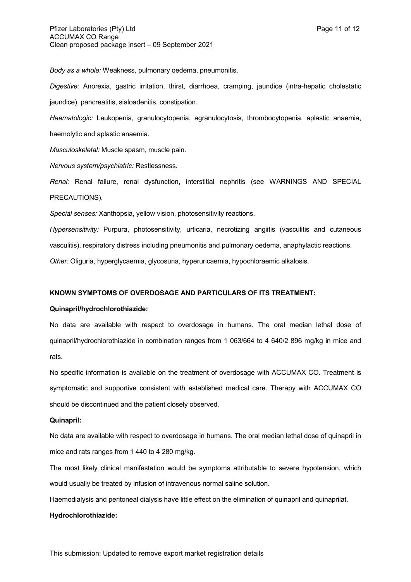*Body as a whole:* Weakness, pulmonary oedema, pneumonitis.

*Digestive:* Anorexia, gastric irritation, thirst, diarrhoea, cramping, jaundice (intra-hepatic cholestatic jaundice), pancreatitis, sialoadenitis, constipation.

*Haematologic:* Leukopenia, granulocytopenia, agranulocytosis, thrombocytopenia, aplastic anaemia, haemolytic and aplastic anaemia.

*Musculoskeletal:* Muscle spasm, muscle pain.

*Nervous system/psychiatric:* Restlessness.

*Renal:* Renal failure, renal dysfunction, interstitial nephritis (see WARNINGS AND SPECIAL PRECAUTIONS).

*Special senses:* Xanthopsia, yellow vision, photosensitivity reactions.

*Hypersensitivity:* Purpura, photosensitivity, urticaria, necrotizing angiitis (vasculitis and cutaneous vasculitis), respiratory distress including pneumonitis and pulmonary oedema, anaphylactic reactions. *Other:* Oliguria, hyperglycaemia, glycosuria, hyperuricaemia, hypochloraemic alkalosis.

# **KNOWN SYMPTOMS OF OVERDOSAGE AND PARTICULARS OF ITS TREATMENT:**

# **Quinapril/hydrochlorothiazide:**

No data are available with respect to overdosage in humans. The oral median lethal dose of quinapril/hydrochlorothiazide in combination ranges from 1 063/664 to 4 640/2 896 mg/kg in mice and rats.

No specific information is available on the treatment of overdosage with ACCUMAX CO. Treatment is symptomatic and supportive consistent with established medical care. Therapy with ACCUMAX CO should be discontinued and the patient closely observed.

## **Quinapril:**

No data are available with respect to overdosage in humans. The oral median lethal dose of quinapril in mice and rats ranges from 1 440 to 4 280 mg/kg.

The most likely clinical manifestation would be symptoms attributable to severe hypotension, which would usually be treated by infusion of intravenous normal saline solution.

Haemodialysis and peritoneal dialysis have little effect on the elimination of quinapril and quinaprilat.

## **Hydrochlorothiazide:**